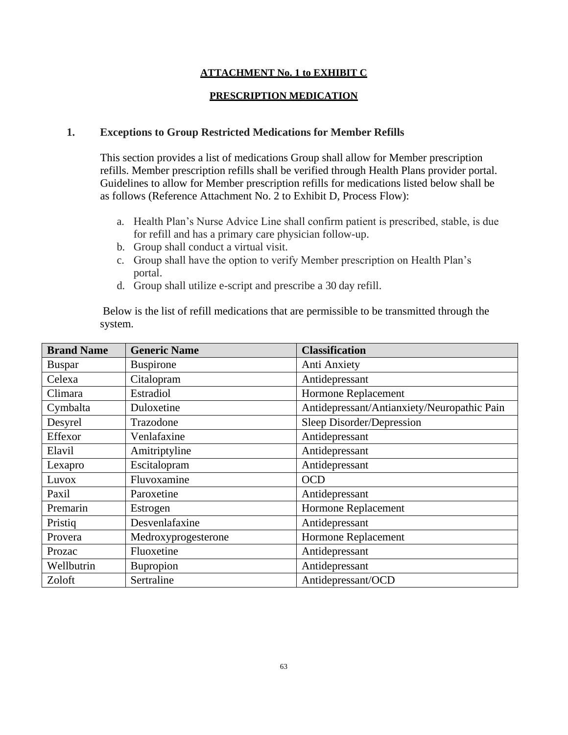## **ATTACHMENT No. 1 to EXHIBIT C**

## **PRESCRIPTION MEDICATION**

## **1. Exceptions to Group Restricted Medications for Member Refills**

This section provides a list of medications Group shall allow for Member prescription refills. Member prescription refills shall be verified through Health Plans provider portal. Guidelines to allow for Member prescription refills for medications listed below shall be as follows (Reference Attachment No. 2 to Exhibit D, Process Flow):

- a. Health Plan's Nurse Advice Line shall confirm patient is prescribed, stable, is due for refill and has a primary care physician follow-up.
- b. Group shall conduct a virtual visit.
- c. Group shall have the option to verify Member prescription on Health Plan's portal.
- d. Group shall utilize e-script and prescribe a 30 day refill.

Below is the list of refill medications that are permissible to be transmitted through the system.

| <b>Brand Name</b> | <b>Generic Name</b> | <b>Classification</b>                       |
|-------------------|---------------------|---------------------------------------------|
| <b>Buspar</b>     | <b>Buspirone</b>    | Anti Anxiety                                |
| Celexa            | Citalopram          | Antidepressant                              |
| Climara           | Estradiol           | Hormone Replacement                         |
| Cymbalta          | Duloxetine          | Antidepressant/Antianxiety/Neuropathic Pain |
| Desyrel           | Trazodone           | Sleep Disorder/Depression                   |
| Effexor           | Venlafaxine         | Antidepressant                              |
| Elavil            | Amitriptyline       | Antidepressant                              |
| Lexapro           | Escitalopram        | Antidepressant                              |
| Luvox             | Fluvoxamine         | <b>OCD</b>                                  |
| Paxil             | Paroxetine          | Antidepressant                              |
| Premarin          | Estrogen            | Hormone Replacement                         |
| Pristiq           | Desvenlafaxine      | Antidepressant                              |
| Provera           | Medroxyprogesterone | Hormone Replacement                         |
| Prozac            | Fluoxetine          | Antidepressant                              |
| Wellbutrin        | Bupropion           | Antidepressant                              |
| Zoloft            | Sertraline          | Antidepressant/OCD                          |